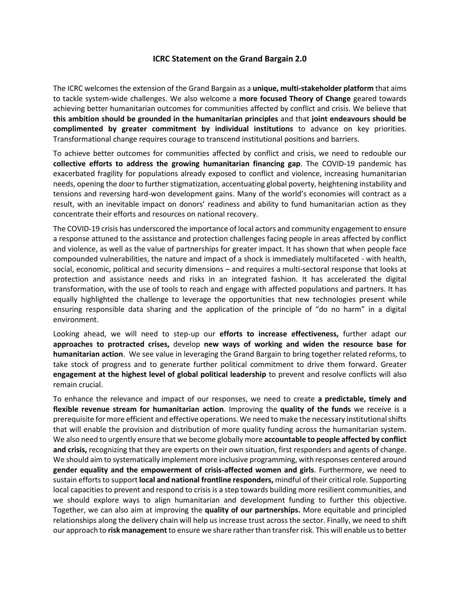## **ICRC Statement on the Grand Bargain 2.0**

The ICRC welcomes the extension of the Grand Bargain as a **unique, multi-stakeholder platform** that aims to tackle system-wide challenges. We also welcome a **more focused Theory of Change** geared towards achieving better humanitarian outcomes for communities affected by conflict and crisis. We believe that **this ambition should be grounded in the humanitarian principles** and that **joint endeavours should be complimented by greater commitment by individual institutions** to advance on key priorities. Transformational change requires courage to transcend institutional positions and barriers.

To achieve better outcomes for communities affected by conflict and crisis, we need to redouble our **collective efforts to address the growing humanitarian financing gap**. The COVID-19 pandemic has exacerbated fragility for populations already exposed to conflict and violence, increasing humanitarian needs, opening the door to further stigmatization, accentuating global poverty, heightening instability and tensions and reversing hard-won development gains. Many of the world's economies will contract as a result, with an inevitable impact on donors' readiness and ability to fund humanitarian action as they concentrate their efforts and resources on national recovery.

The COVID-19 crisis has underscored the importance of local actors and community engagement to ensure a response attuned to the assistance and protection challenges facing people in areas affected by conflict and violence, as well as the value of partnerships for greater impact. It has shown that when people face compounded vulnerabilities, the nature and impact of a shock is immediately multifaceted - with health, social, economic, political and security dimensions – and requires a multi-sectoral response that looks at protection and assistance needs and risks in an integrated fashion. It has accelerated the digital transformation, with the use of tools to reach and engage with affected populations and partners. It has equally highlighted the challenge to leverage the opportunities that new technologies present while ensuring responsible data sharing and the application of the principle of "do no harm" in a digital environment.

Looking ahead, we will need to step-up our **efforts to increase effectiveness,** further adapt our **approaches to protracted crises,** develop **new ways of working and widen the resource base for humanitarian action**. We see value in leveraging the Grand Bargain to bring together related reforms, to take stock of progress and to generate further political commitment to drive them forward. Greater **engagement at the highest level of global political leadership** to prevent and resolve conflicts will also remain crucial.

To enhance the relevance and impact of our responses, we need to create **a predictable, timely and flexible revenue stream for humanitarian action**. Improving the **quality of the funds** we receive is a prerequisite for more efficient and effective operations. We need to make the necessary institutional shifts that will enable the provision and distribution of more quality funding across the humanitarian system. We also need to urgently ensure that we become globally more **accountable to people affected by conflict and crisis,** recognizing that they are experts on their own situation, first responders and agents of change. We should aim to systematically implement more inclusive programming, with responses centered around **gender equality and the empowerment of crisis-affected women and girls**. Furthermore, we need to sustain efforts to support **local and national frontline responders,** mindful of their critical role. Supporting local capacities to prevent and respond to crisis is a step towards building more resilient communities, and we should explore ways to align humanitarian and development funding to further this objective. Together, we can also aim at improving the **quality of our partnerships.** More equitable and principled relationships along the delivery chain will help us increase trust across the sector. Finally, we need to shift our approach to **risk management** to ensure we share rather than transfer risk. This will enable us to better